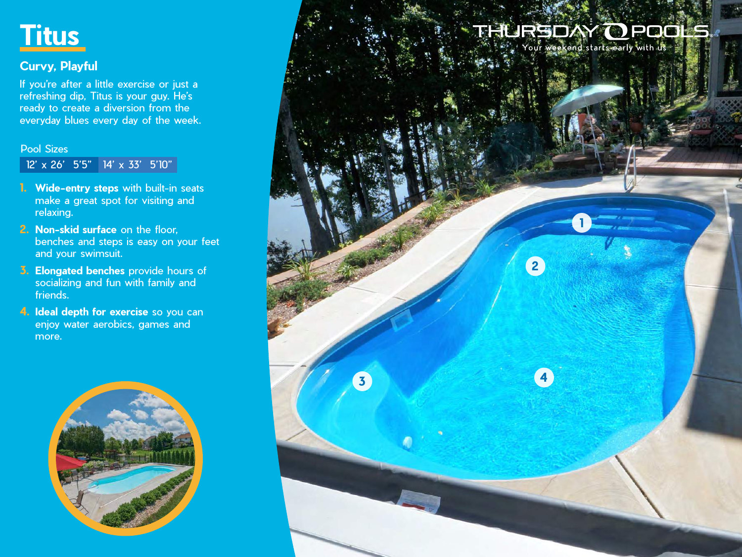

### **Curvy, Playful**

If you're after a little exercise or just a refreshing dip, Titus is your guy. He's ready to create a diversion from the everyday blues every day of the week.

#### Pool Sizes

12' x 26' 5'5" 14' x 33' 5'10"

- **1. Wide-entry steps** with built-in seats make a great spot for visiting and relaxing.
- **2. Non-skid surface** on the floor, benches and steps is easy on your feet and your swimsuit.
- **3. Elongated benches** provide hours of socializing and fun with family and friends.
- **4. Ideal depth for exercise** so you can enjoy water aerobics, games and more.



# THURGDAY OPDOLS

**1**

**2**

**3 4**